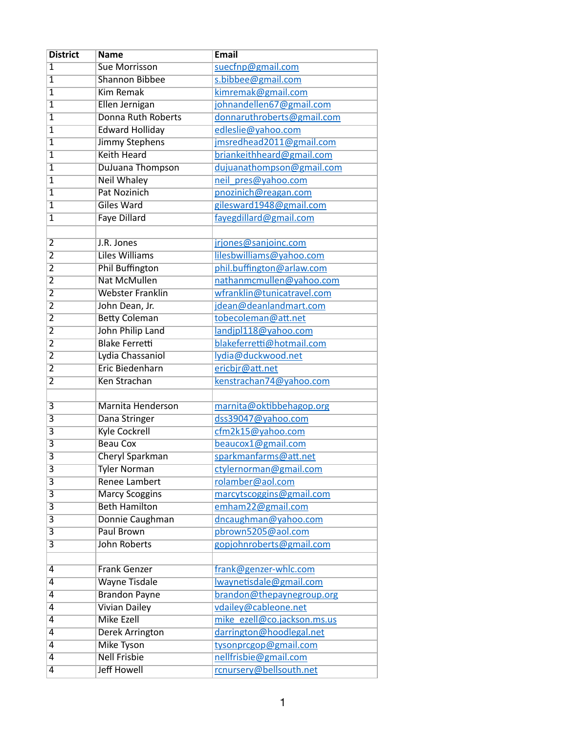| <b>District</b>         | <b>Name</b>                             | <b>Email</b>                |
|-------------------------|-----------------------------------------|-----------------------------|
| 1                       | <b>Sue Morrisson</b>                    | suecfnp@gmail.com           |
| $\overline{1}$          | <b>Shannon Bibbee</b>                   | s.bibbee@gmail.com          |
| $\overline{1}$          | <b>Kim Remak</b>                        | kimremak@gmail.com          |
| 1                       | Ellen Jernigan                          | johnandellen67@gmail.com    |
| $\overline{1}$          | <b>Donna Ruth Roberts</b>               | donnaruthroberts@gmail.com  |
| 1                       | <b>Edward Holliday</b>                  | edleslie@yahoo.com          |
| $\overline{1}$          | <b>Jimmy Stephens</b>                   | jmsredhead2011@gmail.com    |
| 1                       | <b>Keith Heard</b>                      | briankeithheard@gmail.com   |
| $\overline{1}$          | <b>DuJuana Thompson</b>                 | dujuanathompson@gmail.com   |
| $\overline{1}$          | <b>Neil Whaley</b>                      | neil pres@yahoo.com         |
| $\overline{1}$          | <b>Pat Nozinich</b>                     | pnozinich@reagan.com        |
| 1                       | <b>Giles Ward</b>                       | gilesward1948@gmail.com     |
| $\overline{1}$          | <b>Faye Dillard</b>                     | fayegdillard@gmail.com      |
|                         |                                         |                             |
| $\overline{2}$          | J.R. Jones                              | jrjones@sanjoinc.com        |
| $\overline{2}$          | <b>Liles Williams</b>                   | lilesbwilliams@yahoo.com    |
| $\overline{2}$          | <b>Phil Buffington</b>                  | phil.buffington@arlaw.com   |
| $\overline{2}$          | <b>Nat McMullen</b>                     | nathanmcmullen@yahoo.com    |
| $\overline{2}$          | <b>Webster Franklin</b>                 | wfranklin@tunicatravel.com  |
| $\overline{2}$          | John Dean, Jr.                          | jdean@deanlandmart.com      |
| $\overline{2}$          | <b>Betty Coleman</b>                    | tobecoleman@att.net         |
| $\overline{2}$          | John Philip Land                        | landjpl118@yahoo.com        |
| $\overline{2}$          | <b>Blake Ferretti</b>                   | blakeferretti@hotmail.com   |
| $\overline{2}$          | Lydia Chassaniol                        | lydia@duckwood.net          |
| $\overline{2}$          | <b>Eric Biedenharn</b>                  | ericbjr@att.net             |
| $\overline{2}$          | Ken Strachan                            | kenstrachan74@yahoo.com     |
|                         |                                         |                             |
|                         | Marnita Henderson                       |                             |
| 3                       |                                         | marnita@oktibbehagop.org    |
| $\overline{\mathbf{3}}$ | Dana Stringer                           | dss39047@yahoo.com          |
| 3                       | <b>Kyle Cockrell</b><br><b>Beau Cox</b> | cfm2k15@yahoo.com           |
| $\overline{\mathbf{3}}$ |                                         | beaucox1@gmail.com          |
| $\overline{\mathsf{3}}$ | Cheryl Sparkman                         | sparkmanfarms@att.net       |
| 3                       | <b>Tyler Norman</b>                     | ctylernorman@gmail.com      |
| 3                       | <b>Renee Lambert</b>                    | rolamber@aol.com            |
| 3                       | <b>Marcy Scoggins</b>                   | marcytscoggins@gmail.com    |
| $\overline{\mathbf{3}}$ | <b>Beth Hamilton</b>                    | emham22@gmail.com           |
| 3                       | Donnie Caughman                         | dncaughman@yahoo.com        |
| $\overline{\mathbf{3}}$ | Paul Brown                              | pbrown5205@aol.com          |
| $\overline{\mathbf{3}}$ | <b>John Roberts</b>                     | gopjohnroberts@gmail.com    |
|                         |                                         |                             |
| 4                       | <b>Frank Genzer</b>                     | frank@genzer-whlc.com       |
| 4                       | <b>Wayne Tisdale</b>                    | Iwaynetisdale@gmail.com     |
| 4                       | <b>Brandon Payne</b>                    | brandon@thepaynegroup.org   |
| $\overline{4}$          | <b>Vivian Dailey</b>                    | vdailey@cableone.net        |
| $\overline{4}$          | <b>Mike Ezell</b>                       | mike_ezell@co.jackson.ms.us |
| 4                       | <b>Derek Arrington</b>                  | darrington@hoodlegal.net    |
| $\overline{4}$          | <b>Mike Tyson</b>                       | tysonprcgop@gmail.com       |
| $\overline{4}$          | <b>Nell Frisbie</b>                     | nellfrisbie@gmail.com       |
| 4                       | <b>Jeff Howell</b>                      | rcnursery@bellsouth.net     |